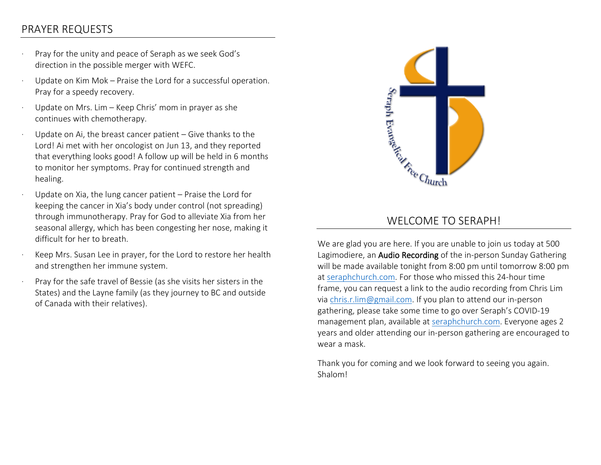## PRAYER REQUESTS

- · Pray for the unity and peace of Seraph as we seek God's direction in the possible merger with WEFC.
- Update on Kim Mok Praise the Lord for a successful operation. Pray for a speedy recovery.
- Update on Mrs. Lim Keep Chris' mom in prayer as she continues with chemotherapy.
- Update on Ai, the breast cancer patient  $-$  Give thanks to the Lord! Ai met with her oncologist on Jun 13, and they reported that everything looks good! A follow up will be held in 6 months to monitor her symptoms. Pray for continued strength and healing.
- Update on Xia, the lung cancer patient Praise the Lord for keeping the cancer in Xia's body under control (not spreading) through immunotherapy. Pray for God to alleviate Xia from her seasonal allergy, which has been congesting her nose, making it difficult for her to breath.
- Keep Mrs. Susan Lee in prayer, for the Lord to restore her health and strengthen her immune system.
- Pray for the safe travel of Bessie (as she visits her sisters in the States) and the Layne family (as they journey to BC and outside of Canada with their relatives).



## WELCOME TO SERAPH!

We are glad you are here. If you are unable to join us today at 500 Lagimodiere, an Audio Recording of the in-person Sunday Gathering will be made available tonight from 8:00 pm until tomorrow 8:00 pm at [seraphchurch.com.](http://seraphchurch.com/) For those who missed this 24-hour time frame, you can request a link to the audio recording from Chris Lim via [chris.r.lim@gmail.com.](mailto:chris.r.lim@gmail.com) If you plan to attend our in-person gathering, please take some time to go over Seraph's COVID-19 management plan, available at [seraphchurch.com.](http://www.seraphchurch.com/) Everyone ages 2 years and older attending our in-person gathering are encouraged to wear a mask.

Thank you for coming and we look forward to seeing you again. Shalom!